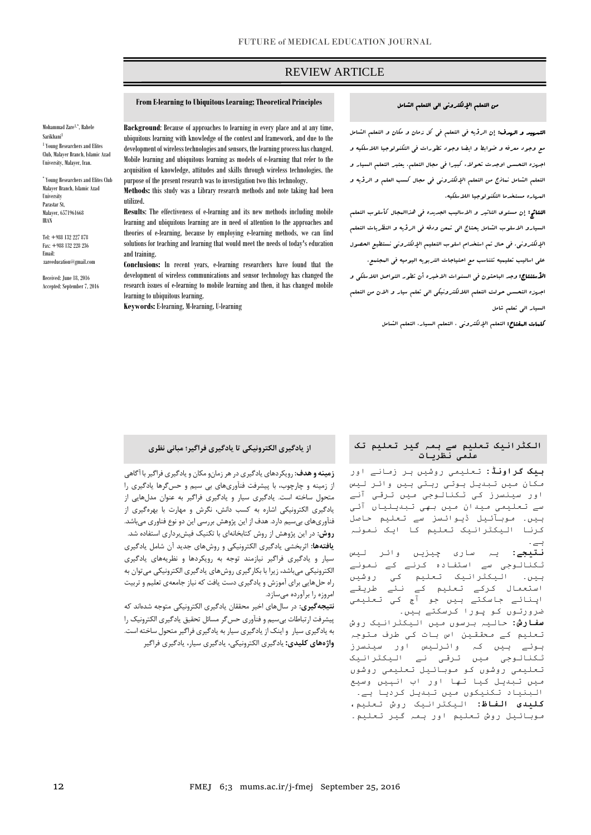## REVIEW ARTICLE

## **From E-learning to Ubiquitous Learning; Theoretical Principles**

Mohammad Zare1,\* , Rahele Sarikhani<sup>1</sup> <sup>1</sup> Young Researchers and Elites Club, Malayer Branch, Islamic Azad University, Malayer, Iran.

\* Young Researchers and Elites Club Malayer Branch, Islamic Azad University Parastar St, Malayer, 6571961668 IRAN

Tel: **+**988 132 227 878 Fax: +988 132 228 236 Email: zareeducation@gmail.com

Received: June 18, 2016 Accepted: September 7, 2016

**Background**: Because of approaches to learning in every place and at any time, ubiquitous learning with knowledge of the context and framework, and due to the development of wireless technologies and sensors, the learning process has changed. Mobile learning and ubiquitous learning as models of e-learning that refer to the acquisition of knowledge, attitudes and skills through wireless technologies. the purpose of the present research was to investigation two this technology.

**Methods:** this study was a Library research methods and note taking had been utilized.

**Results**: The effectiveness of e-learning and its new methods including mobile learning and ubiquitous learning are in need of attention to the approaches and theories of e-learning, because by employing e-learning methods, we can find solutions for teaching and learning that would meet the needs of today's education and training.

**Conclusions:** In recent years, e-learning researchers have found that the development of wireless communications and sensor technology has changed the research issues of e-learning to mobile learning and then, it has changed mobile learning to ubiquitous learning.

**Keywords:** E-learning, M-learning, U-learning

## **الکٹراںیک تعلیم سے ہمہ گیر تعلیم تک علمی ںظریات**

**بیک گراوںڈ:** تعلیمی روشیں ہر زمانے اور مکان میں تبدیل ہوتی رہتی ہیں وائر لیس اور سینسرز کی ٹکنالوجی میں ترقی آنے سے تعلیمی میدان میں بھی تبدیلیاں آئی ہیں۔ موبآئیل ڈیوائسز سے تعلیم حاصل کرنا الیکٹرانیک تعلیم کا ایک نمونہ ہے۔

**ںتیجے:** یہ ساری چیزیں وائر لیس ٹکنالوجی سے استفادہ کرنے کے نمونے ہیں۔ الیکٹرانیک تعلیم کی روشیں استعمال کرکے تعلیم کے نئے طریقے اپنائے جاسکتے ہیں جو آج کی تعلیمی ضرورتوں کو پورا کرسکتے ہیں۔

**سفارش:** حالیہ برسوں میں الیکٹرانیک روش تعلیم کے محققین اس بات کی طرف متوجہ ہوئے ہیں کہ وائرلیس اور سینسرز ٹکنالوجی میں ترقی نے الیکٹرانیک تعلیمی روشوں کو موبائیل تعلیمی روشوں میں تبدیل کیا تھا اور اب انہیں وسیع البنیاد تکنیکوں میں تبدیل کردیا ہے۔ **کلیدی الفاظ:** الیکٹرانیک روش تعلیم، موبائیل روش تعلیم اور ہمہ گیر تعلیم۔

## **از یادگیری الکترونیکی تا یادگیری فراگیر؛ مبانی نظری**

**زمینه و هدف:** رویکردهای یادگیری در هر زمانو مکان و یادگیری فراگیر با آگاهی از زمینه و چارچوب، با پیشرفت فنآوریهای بی سیم و حسگرها یادگیری را متحول ساخته است. یادگیری سیار و یادگیری فراگیر به عنوان مدلهایی از یادگیری الکترونیکی اشاره به کسب دانش، نگرش و مهارت با بهرهگیری از فنآوریهای بیسیم دارد. هدف از این پژوهش بررسی این دو نوع فناوری میباشد. **روش:** در این پژوهش از روش کتابخانهای با تکنیک فیشبرداری استفاده شد. **یافتهها:** اثربخشی یادگیری الکترونیکی و روشهای جدید آن شامل یادگیری سیار و یادگیری فراگیر نیازمند توجه به رویکردها و نظریههای یادگیری الکترونیکی میباشد، زیرا با بکارگیری روشهای یادگیری الکترونیکی میتوان به راه حلهایی برای آموزش و یادگیری دست یافت که نیاز جامعهی تعلیم و تربیت امروزه را برآورده میسازد.

**نتیجهگیری:** در سالهای اخیر محققان یادگیری الکترونیکی متوجه شدهاند که پیشرفت ارتباطات بیسیم و فنآوری حسگر مسائل تحقیق یادگیری الکترونیک را به یادگیری سیار و اینک از یادگیری سیار به یادگیری فراگیر متحول ساخته است. **واژههای کلیدی:** یادگیری الکترونیکی، یادگیری سیار، یادگیری فراگیر

# من التعلم اإللکتروني الي التعلم الشامل

ص

التمهید و الهدف: إن الرؤیه في التعلم في کل زمان و مکان و التعلم الشامل مع وجود معرفه و ضوابط و ایضا وجود تطورات في التکنولوجیا الالسلکیه و اجهزه التحسس اوجدت تحوالء کبیرا في مجال التعلم. یعتبر التعلم السیار و التعلم الشامل نماذج من التعلم اإللکتروني في مجال کسب العلم و الرؤیه و المهاره مستخدما التکنولوجیا الالسلکیه.

النتائج: إن مستوی التاثیر و االسالیب الجدیده في هذاالمجال کأسلوب التعلم السیارو االسلوب الشامل یحتاج الي تمعن ودقه في الرؤیه و النظریات التعلم اإللکتروني. في حال تم استخدام اسلوب التعلیم اإللکتروني نستطیع الحصول علي اسالیب تعلیمیه تتناسب مع احتیاجات التربویه الیومیه في المجتمع.

ا**لأستنتاج:** وجد الباحثون ف<sub>ى</sub> السنوات الاخیره أن تطور التواصل اللاسلک<sub>ى</sub> و اجهزه التحسس حولت التعلم الاللکترونیکي الي تعلم سیار و االن من التعلم السیار الي تعلم شامل

کلمات المفتاح: التعلم اإللکتروني ، التعلم السیار، التعلم الشامل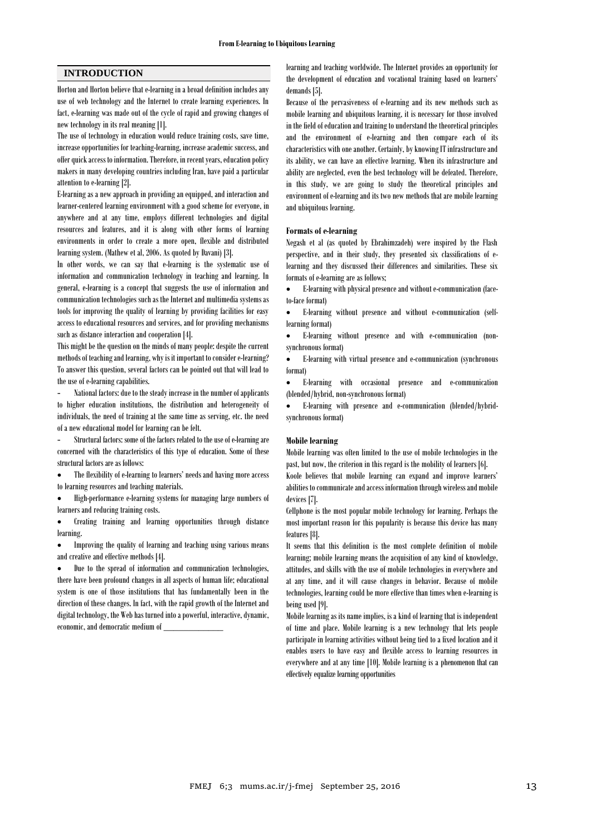## **INTRODUCTION**

Horton and Horton believe that e-learning in a broad definition includes any use of web technology and the Internet to create learning experiences. In fact, e-learning was made out of the cycle of rapid and growing changes of new technology in its real meaning [1].

The use of technology in education would reduce training costs, save time, increase opportunities for teaching-learning, increase academic success, and offer quick access to information. Therefore, in recent years, education policy makers in many developing countries including Iran, have paid a particular attention to e-learning [2].

E-learning as a new approach in providing an equipped, and interaction and learner-centered learning environment with a good scheme for everyone, in anywhere and at any time, employs different technologies and digital resources and features, and it is along with other forms of learning environments in order to create a more open, flexible and distributed learning system. (Mathew et al, 2006. As quoted by Davani) [3].

In other words, we can say that e-learning is the systematic use of information and communication technology in teaching and learning. In general, e-learning is a concept that suggests the use of information and communication technologies such as the Internet and multimedia systems as tools for improving the quality of learning by providing facilities for easy access to educational resources and services, and for providing mechanisms such as distance interaction and cooperation [4].

This might be the question on the minds of many people: despite the current methods of teaching and learning, why is it important to consider e-learning? To answer this question, several factors can be pointed out that will lead to the use of e-learning capabilities.

National factors: due to the steady increase in the number of applicants to higher education institutions, the distribution and heterogeneity of individuals, the need of training at the same time as serving, etc. the need of a new educational model for learning can be felt.

- Structural factors: some of the factors related to the use of e-learning are concerned with the characteristics of this type of education. Some of these structural factors are as follows:

 The flexibility of e-learning to learners' needs and having more access to learning resources and teaching materials.

 High-performance e-learning systems for managing large numbers of learners and reducing training costs.

 Creating training and learning opportunities through distance learning.

 Improving the quality of learning and teaching using various means and creative and effective methods [4].

 Due to the spread of information and communication technologies, there have been profound changes in all aspects of human life; educational system is one of those institutions that has fundamentally been in the direction of these changes. In fact, with the rapid growth of the Internet and digital technology, the Web has turned into a powerful, interactive, dynamic, economic, and democratic medium of \_\_\_\_\_\_\_\_\_\_\_\_

learning and teaching worldwide. The Internet provides an opportunity for the development of education and vocational training based on learners' demands [5].

Because of the pervasiveness of e-learning and its new methods such as mobile learning and ubiquitous learning, it is necessary for those involved in the field of education and training to understand the theoretical principles and the environment of e-learning and then compare each of its characteristics with one another. Certainly, by knowing IT infrastructure and its ability, we can have an effective learning. When its infrastructure and ability are neglected, even the best technology will be defeated. Therefore, in this study, we are going to study the theoretical principles and environment of e-learning and its two new methods that are mobile learning and ubiquitous learning.

#### **Formats of e-learning**

Negash et al (as quoted by Ebrahimzadeh) were inspired by the Flash perspective, and in their study, they presented six classifications of elearning and they discussed their differences and similarities. These six formats of e-learning are as follows;

 E-learning with physical presence and without e-communication (faceto-face format)

 E-learning without presence and without e-communication (selflearning format)

 E-learning without presence and with e-communication (nonsynchronous format)

 E-learning with virtual presence and e-communication (synchronous format)

 E-learning with occasional presence and e-communication (blended/hybrid, non-synchronous format)

 E-learning with presence and e-communication (blended/hybridsynchronous format)

#### **Mobile learning**

Mobile learning was often limited to the use of mobile technologies in the past, but now, the criterion in this regard is the mobility of learners [6].

Koole believes that mobile learning can expand and improve learners' abilities to communicate and access information through wireless and mobile devices [7].

Cellphone is the most popular mobile technology for learning. Perhaps the most important reason for this popularity is because this device has many features [8].

It seems that this definition is the most complete definition of mobile learning; mobile learning means the acquisition of any kind of knowledge, attitudes, and skills with the use of mobile technologies in everywhere and at any time, and it will cause changes in behavior. Because of mobile technologies, learning could be more effective than times when e-learning is being used [9].

Mobile learning as its name implies, is a kind of learning that is independent of time and place. Mobile learning is a new technology that lets people participate in learning activities without being tied to a fixed location and it enables users to have easy and flexible access to learning resources in everywhere and at any time [10]. Mobile learning is a phenomenon that can effectively equalize learning opportunities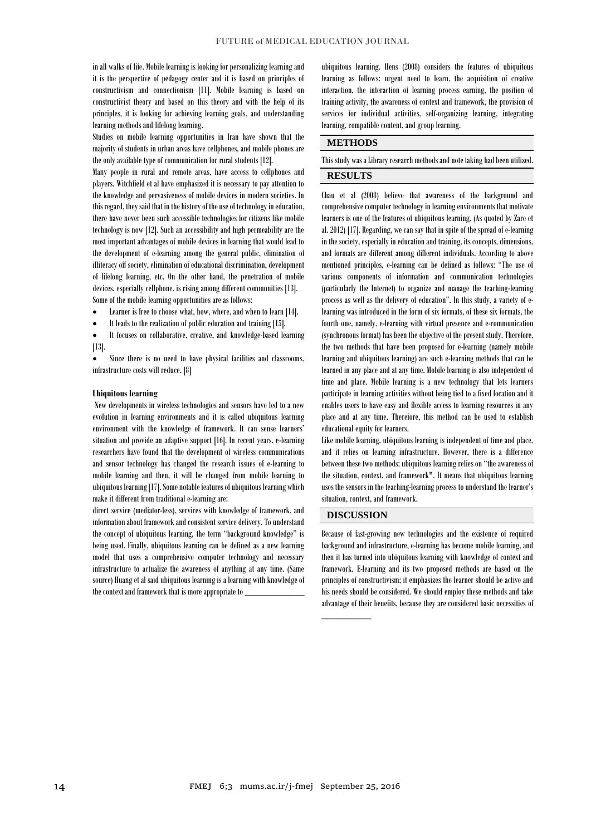in all walks of life. Mobile learning is looking for personalizing learning and it is the perspective of pedagogy center and it is based on principles of constructivism and connectionism [11]. Mobile learning is based on constructivist theory and based on this theory and with the help of its principles, it is looking for achieving learning goals, and understanding learning methods and lifelong learning.

Studies on mobile learning opportunities in Iran have shown that the majority of students in urban areas have cellphones, and mobile phones are the only available type of communication for rural students [12].

Many people in rural and remote areas, have access to cellphones and players. Witchfield et al have emphasized it is necessary to pay attention to the knowledge and pervasiveness of mobile devices in modern societies. In this regard, they said that in the history of the use of technology in education, there have never been such accessible technologies for citizens like mobile technology is now [12]. Such an accessibility and high permeability are the most important advantages of mobile devices in learning that would lead to the development of e-learning among the general public, elimination of illiteracy off society, elimination of educational discrimination, development of lifelong learning, etc. On the other hand, the penetration of mobile devices, especially cellphone, is rising among different communities [13]. Some of the mobile learning opportunities are as follows:

- Learner is free to choose what, how, where, and when to learn [14].
- It leads to the realization of public education and training [15].

 It focuses on collaborative, creative, and knowledge-based learning [13].

 Since there is no need to have physical facilities and classrooms, infrastructure costs will reduce. [8]

#### **Ubiquitous learning**

New developments in wireless technologies and sensors have led to a new evolution in learning environments and it is called ubiquitous learning environment with the knowledge of framework. It can sense learners' situation and provide an adaptive support [16]. In recent years, e-learning researchers have found that the development of wireless communications and sensor technology has changed the research issues of e-learning to mobile learning and then, it will be changed from mobile learning to ubiquitous learning [17]. Some notable features of ubiquitous learning which make it different from traditional e-learning are:

direct service (mediator-less), services with knowledge of framework, and information about framework and consistent service delivery. To understand the concept of ubiquitous learning, the term "background knowledge" is being used. Finally, ubiquitous learning can be defined as a new learning model that uses a comprehensive computer technology and necessary infrastructure to actualize the awareness of anything at any time. (Same source) Huang et al said ubiquitous learning is a learning with knowledge of the context and framework that is more appropriate to

ubiquitous learning. Hens (2008) considers the features of ubiquitous learning as follows: urgent need to learn, the acquisition of creative interaction, the interaction of learning process earning, the position of training activity, the awareness of context and framework, the provision of services for individual activities, self-organizing learning, integrating learning, compatible content, and group learning.

## **METHODS**

This study was a Library research methods and note taking had been utilized.

## **RESULTS**

Chau et al (2008) believe that awareness of the background and comprehensive computer technology in learning environments that motivate learners is one of the features of ubiquitous learning. (As quoted by Zare et al. 2012) [17]. Regarding, we can say that in spite of the spread of e-learning in the society, especially in education and training, its concepts, dimensions, and formats are different among different individuals. According to above mentioned principles, e-learning can be defined as follows: "The use of various components of information and communication technologies (particularly the Internet) to organize and manage the teaching-learning process as well as the delivery of education". In this study, a variety of elearning was introduced in the form of six formats, of these six formats, the fourth one, namely, e-learning with virtual presence and e-communication (synchronous format) has been the objective of the present study. Therefore, the two methods that have been proposed for e-learning (namely mobile learning and ubiquitous learning) are such e-learning methods that can be learned in any place and at any time. Mobile learning is also independent of time and place. Mobile learning is a new technology that lets learners participate in learning activities without being tied to a fixed location and it enables users to have easy and flexible access to learning resources in any place and at any time. Therefore, this method can be used to establish educational equity for learners.

Like mobile learning, ubiquitous learning is independent of time and place, and it relies on learning infrastructure. However, there is a difference between these two methods: ubiquitous learning relies on "the awareness of the situation, context, and framework". It means that ubiquitous learning uses the sensors in the teaching-learning process to understand the learner's situation, context, and framework.

### **DISCUSSION**

 $\overline{\phantom{a}}$  ,  $\overline{\phantom{a}}$  ,  $\overline{\phantom{a}}$  ,  $\overline{\phantom{a}}$  ,  $\overline{\phantom{a}}$  ,  $\overline{\phantom{a}}$  ,  $\overline{\phantom{a}}$  ,  $\overline{\phantom{a}}$  ,  $\overline{\phantom{a}}$  ,  $\overline{\phantom{a}}$  ,  $\overline{\phantom{a}}$  ,  $\overline{\phantom{a}}$  ,  $\overline{\phantom{a}}$  ,  $\overline{\phantom{a}}$  ,  $\overline{\phantom{a}}$  ,  $\overline{\phantom{a}}$ 

Because of fast-growing new technologies and the existence of required background and infrastructure, e-learning has become mobile learning, and then it has turned into ubiquitous learning with knowledge of context and framework. E-learning and its two proposed methods are based on the principles of constructivism; it emphasizes the learner should be active and his needs should be considered. We should employ these methods and take advantage of their benefits, because they are considered basic necessities of